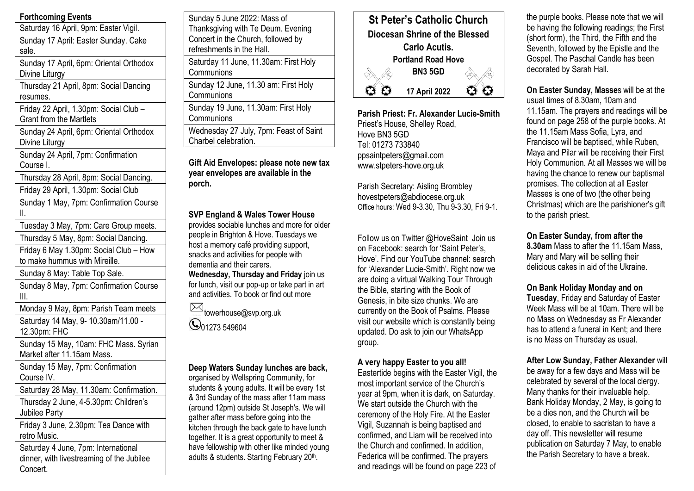# **Forthcoming Events**

Saturday 16 April, 9pm: Easter Vigil. Sunday 17 April: Easter Sunday. Cake sale. Sunday 17 April, 6pm: Oriental Orthodox Divine Liturgy Thursday 21 April, 8pm: Social Dancing resumes. Friday 22 April, 1.30pm: Social Club – Grant from the Martlets Sunday 24 April, 6pm: Oriental Orthodox

Divine Liturgy

Sunday 24 April, 7pm: Confirmation Course I.

Thursday 28 April, 8pm: Social Dancing.

Friday 29 April, 1.30pm: Social Club

Sunday 1 May, 7pm: Confirmation Course II.

Tuesday 3 May, 7pm: Care Group meets.

Thursday 5 May, 8pm: Social Dancing.

Friday 6 May 1.30pm: Social Club – How to make hummus with Mireille.

Sunday 8 May: Table Top Sale.

Sunday 8 May, 7pm: Confirmation Course III.

Monday 9 May, 8pm: Parish Team meets

Saturday 14 May, 9- 10.30am/11.00 - 12.30pm: FHC

Sunday 15 May, 10am: FHC Mass. Syrian Market after 11.15am Mass.

Sunday 15 May, 7pm: Confirmation Course IV.

Saturday 28 May, 11.30am: Confirmation.

Thursday 2 June, 4-5.30pm: Children's Jubilee Party

Friday 3 June, 2.30pm: Tea Dance with retro Music.

Saturday 4 June, 7pm: International dinner, with livestreaming of the Jubilee Concert.

| Saturday 11 June, 11.30am: First Holy<br>Communions<br>Sunday 12 June, 11.30 am: First Holy<br>Communions<br>Sunday 19 June, 11.30am: First Holy<br>Communions<br>Wednesday 27 July, 7pm: Feast of Saint<br>Charbel celebration. | Sunday 5 June 2022: Mass of<br>Thanksgiving with Te Deum. Evening<br>Concert in the Church, followed by<br>refreshments in the Hall. |
|----------------------------------------------------------------------------------------------------------------------------------------------------------------------------------------------------------------------------------|--------------------------------------------------------------------------------------------------------------------------------------|
|                                                                                                                                                                                                                                  |                                                                                                                                      |
|                                                                                                                                                                                                                                  |                                                                                                                                      |
|                                                                                                                                                                                                                                  |                                                                                                                                      |
|                                                                                                                                                                                                                                  |                                                                                                                                      |

**Gift Aid Envelopes: please note new tax year envelopes are available in the porch.**

# **SVP England & Wales Tower House**

provides sociable lunches and more for older people in Brighton & Hove. Tuesdays we host a memory café providing support, snacks and activities for people with dementia and their carers. **Wednesday, Thursday and Friday** join us

for lunch, visit our pop-up or take part in art and activities. To book or find out more

**towerhouse@svp.org.uk C**01273 549604

## **Deep Waters Sunday lunches are back,**

organised by Wellspring Community, for students & young adults. It will be every 1st & 3rd Sunday of the mass after 11am mass (around 12pm) outside St Joseph's. We will gather after mass before going into the kitchen through the back gate to have lunch together. It is a great opportunity to meet & have fellowship with other like minded young adults & students. Starting February 20<sup>th</sup>.



**Parish Priest: Fr. Alexander Lucie-Smith** Priest's House, Shelley Road, Hove BN3 5GD Tel: 01273 733840 ppsaintpeters@gmail.com www.stpeters-hove.org.uk

Parish Secretary: Aisling Brombley hovestpeters@abdiocese.org.uk Office hours: Wed 9-3.30, Thu 9-3.30, Fri 9-1.

Follow us on Twitter @HoveSaint Join us on Facebook: search for 'Saint Peter's, Hove'. Find our YouTube channel: search for 'Alexander Lucie-Smith'. Right now we are doing a virtual Walking Tour Through the Bible, starting with the Book of Genesis, in bite size chunks. We are currently on the Book of Psalms. Please visit our website which is constantly being updated. Do ask to join our WhatsApp group.

### **A very happy Easter to you all!**

Eastertide begins with the Easter Vigil, the most important service of the Church's year at 9pm, when it is dark, on Saturday. We start outside the Church with the ceremony of the Holy Fire. At the Easter Vigil, Suzannah is being baptised and confirmed, and Liam will be received into the Church and confirmed. In addition, Federica will be confirmed. The prayers and readings will be found on page 223 of the purple books. Please note that we will be having the following readings; the First (short form), the Third, the Fifth and the Seventh, followed by the Epistle and the Gospel. The Paschal Candle has been decorated by Sarah Hall.

**On Easter Sunday, Masse**s will be at the usual times of 8.30am, 10am and 11.15am. The prayers and readings will be found on page 258 of the purple books. At the 11.15am Mass Sofia, Lyra, and Francisco will be baptised, while Ruben, Maya and Pilar will be receiving their First Holy Communion. At all Masses we will be having the chance to renew our baptismal promises. The collection at all Easter Masses is one of two (the other being Christmas) which are the parishioner's gift to the parish priest.

### **On Easter Sunday, from after the**

**8.30am** Mass to after the 11.15am Mass, Mary and Mary will be selling their delicious cakes in aid of the Ukraine.

## **On Bank Holiday Monday and on**

**Tuesday**, Friday and Saturday of Easter Week Mass will be at 10am. There will be no Mass on Wednesday as Fr Alexander has to attend a funeral in Kent; and there is no Mass on Thursday as usual.

**After Low Sunday, Father Alexander** will be away for a few days and Mass will be celebrated by several of the local clergy. Many thanks for their invaluable help. Bank Holiday Monday, 2 May, is going to be a dies non, and the Church will be closed, to enable to sacristan to have a day off. This newsletter will resume publication on Saturday 7 May, to enable the Parish Secretary to have a break.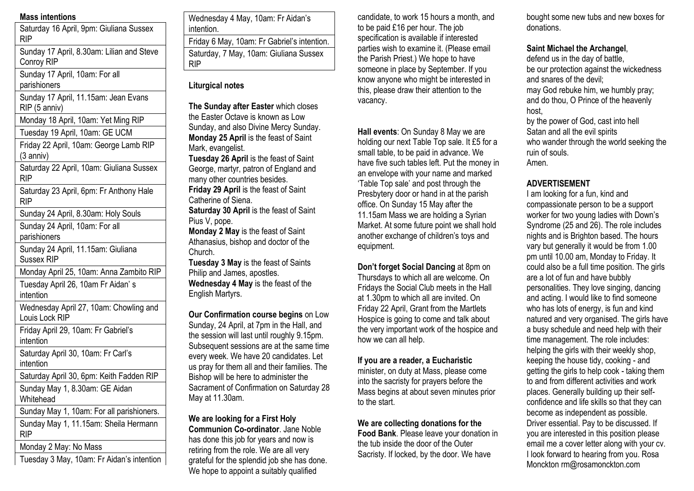### **Mass intentions**

| Saturday 16 April, 9pm: Giuliana Sussex<br><b>RIP</b> |
|-------------------------------------------------------|
| Aunday 17 Anril & 30am: Lilian and Steve              |

Sunday 17 April, 8.30am: Lilian and Steve Conroy RIP

Sunday 17 April, 10am: For all parishioners

Sunday 17 April, 11.15am: Jean Evans RIP (5 anniv)

Monday 18 April, 10am: Yet Ming RIP

Tuesday 19 April, 10am: GE UCM

Friday 22 April, 10am: George Lamb RIP (3 anniv)

Saturday 22 April, 10am: Giuliana Sussex RIP

Saturday 23 April, 6pm: Fr Anthony Hale RIP

Sunday 24 April, 8.30am: Holy Souls

Sunday 24 April, 10am: For all parishioners

Sunday 24 April, 11.15am: Giuliana Sussex RIP

Monday April 25, 10am: Anna Zambito RIP

Tuesday April 26, 10am Fr Aidan' s intention

Wednesday April 27, 10am: Chowling and Louis Lock RIP

Friday April 29, 10am: Fr Gabriel's intention

Saturday April 30, 10am: Fr Carl's intention

Saturday April 30, 6pm: Keith Fadden RIP

Sunday May 1, 8.30am: GE Aidan Whitehead

Sunday May 1, 10am: For all parishioners.

Sunday May 1, 11.15am: Sheila Hermann RIP

Monday 2 May: No Mass

Tuesday 3 May, 10am: Fr Aidan's intention

Wednesday 4 May, 10am: Fr Aidan's intention.

Friday 6 May, 10am: Fr Gabriel's intention. Saturday, 7 May, 10am: Giuliana Sussex RIP

# **Liturgical notes**

**The Sunday after Easter** which closes the Easter Octave is known as Low Sunday, and also Divine Mercy Sunday. **Monday 25 April** is the feast of Saint Mark, evangelist.

**Tuesday 26 April** is the feast of Saint George, martyr, patron of England and many other countries besides. **Friday 29 April** is the feast of Saint Catherine of Siena. **Saturday 30 April** is the feast of Saint

Pius V, pope. **Monday 2 May** is the feast of Saint Athanasius, bishop and doctor of the Church.

**Tuesday 3 May** is the feast of Saints Philip and James, apostles. **Wednesday 4 May** is the feast of the English Martyrs.

**Our Confirmation course begins** on Low Sunday, 24 April, at 7pm in the Hall, and the session will last until roughly 9.15pm. Subsequent sessions are at the same time every week. We have 20 candidates. Let us pray for them all and their families. The Bishop will be here to administer the Sacrament of Confirmation on Saturday 28 May at 11.30am.

**We are looking for a First Holy Communion Co-ordinator**. Jane Noble has done this job for years and now is retiring from the role. We are all very grateful for the splendid job she has done. We hope to appoint a suitably qualified

candidate, to work 15 hours a month, and to be paid £16 per hour. The job specification is available if interested parties wish to examine it. (Please email the Parish Priest.) We hope to have someone in place by September. If you know anyone who might be interested in this, please draw their attention to the vacancy.

**Hall events**: On Sunday 8 May we are holding our next Table Top sale. It £5 for a small table, to be paid in advance. We have five such tables left. Put the money in an envelope with your name and marked 'Table Top sale' and post through the Presbytery door or hand in at the parish office. On Sunday 15 May after the 11.15am Mass we are holding a Syrian Market. At some future point we shall hold another exchange of children's toys and equipment.

**Don't forget Social Dancing** at 8pm on Thursdays to which all are welcome. On Fridays the Social Club meets in the Hall at 1.30pm to which all are invited. On Friday 22 April, Grant from the Martlets Hospice is going to come and talk about the very important work of the hospice and how we can all help.

### **If you are a reader, a Eucharistic**

minister, on duty at Mass, please come into the sacristy for prayers before the Mass begins at about seven minutes prior to the start.

**We are collecting donations for the** 

**Food Bank**. Please leave your donation in the tub inside the door of the Outer Sacristy. If locked, by the door. We have

bought some new tubs and new boxes for donations.

### **Saint Michael the Archangel**,

defend us in the day of battle, be our protection against the wickedness and snares of the devil; may God rebuke him, we humbly pray; and do thou, O Prince of the heavenly host, by the power of God, cast into hell Satan and all the evil spirits who wander through the world seeking the ruin of souls. Amen.

# **ADVERTISEMENT**

I am looking for a fun, kind and compassionate person to be a support worker for two young ladies with Down's Syndrome (25 and 26). The role includes nights and is Brighton based. The hours vary but generally it would be from 1.00 pm until 10.00 am, Monday to Friday. It could also be a full time position. The girls are a lot of fun and have bubbly personalities. They love singing, dancing and acting. I would like to find someone who has lots of energy, is fun and kind natured and very organised. The girls have a busy schedule and need help with their time management. The role includes: helping the girls with their weekly shop, keeping the house tidy, cooking - and getting the girls to help cook - taking them to and from different activities and work places. Generally building up their selfconfidence and life skills so that they can become as independent as possible. Driver essential. Pay to be discussed. If you are interested in this position please email me a cover letter along with your cv. I look forward to hearing from you. Rosa Monckton rm@rosamonckton.com